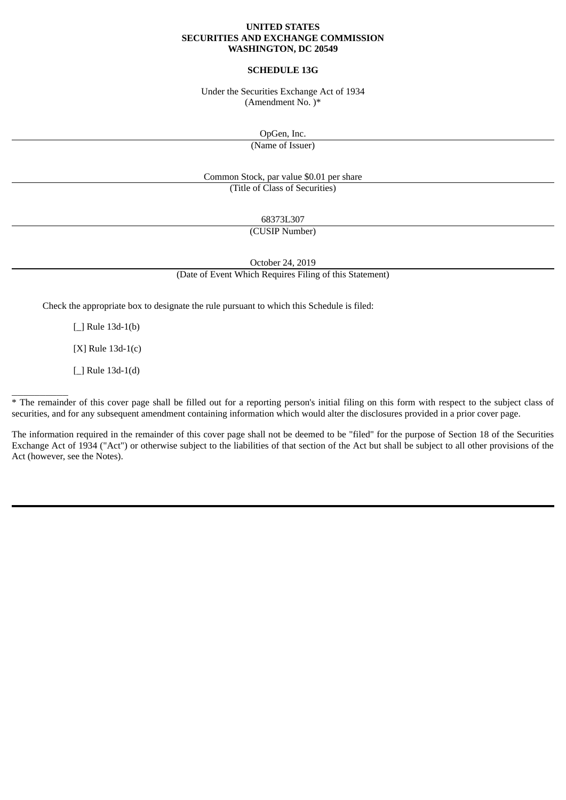#### **UNITED STATES SECURITIES AND EXCHANGE COMMISSION WASHINGTON, DC 20549**

# **SCHEDULE 13G**

Under the Securities Exchange Act of 1934 (Amendment No. )\*

OpGen, Inc.

(Name of Issuer)

Common Stock, par value \$0.01 per share (Title of Class of Securities)

68373L307

(CUSIP Number)

October 24, 2019

(Date of Event Which Requires Filing of this Statement)

Check the appropriate box to designate the rule pursuant to which this Schedule is filed:

[\_] Rule 13d-1(b)

[X] Rule 13d-1(c)

[\_] Rule 13d-1(d)

 $\overline{\phantom{a}}$ 

\* The remainder of this cover page shall be filled out for a reporting person's initial filing on this form with respect to the subject class of securities, and for any subsequent amendment containing information which would alter the disclosures provided in a prior cover page.

The information required in the remainder of this cover page shall not be deemed to be "filed" for the purpose of Section 18 of the Securities Exchange Act of 1934 ("Act") or otherwise subject to the liabilities of that section of the Act but shall be subject to all other provisions of the Act (however, see the Notes).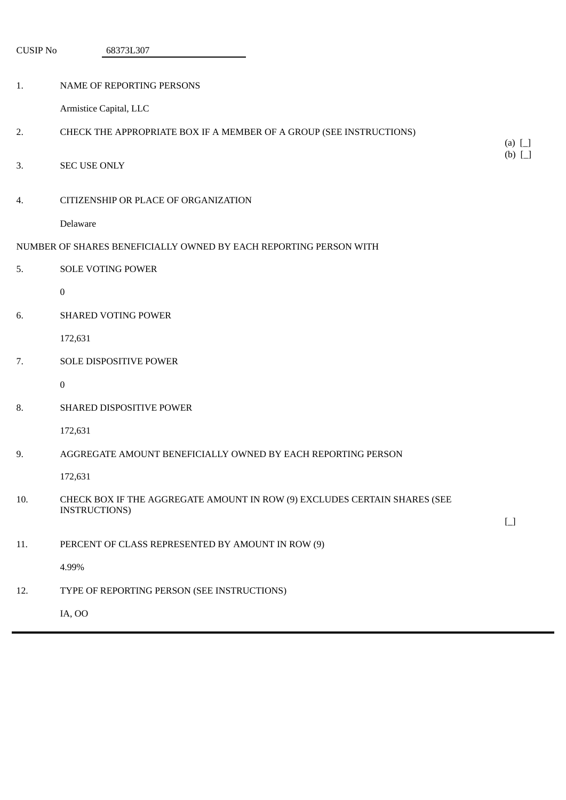| <b>CUSIP No</b> | 68373L307                                                                                  |                       |
|-----------------|--------------------------------------------------------------------------------------------|-----------------------|
| 1.              | NAME OF REPORTING PERSONS                                                                  |                       |
|                 | Armistice Capital, LLC                                                                     |                       |
| 2.              | CHECK THE APPROPRIATE BOX IF A MEMBER OF A GROUP (SEE INSTRUCTIONS)                        | (a) $\Box$            |
| 3.              | <b>SEC USE ONLY</b>                                                                        | (b) $\Box$            |
| 4.              | CITIZENSHIP OR PLACE OF ORGANIZATION                                                       |                       |
|                 | Delaware                                                                                   |                       |
|                 | NUMBER OF SHARES BENEFICIALLY OWNED BY EACH REPORTING PERSON WITH                          |                       |
| 5.              | <b>SOLE VOTING POWER</b>                                                                   |                       |
|                 | $\mathbf{0}$                                                                               |                       |
| 6.              | <b>SHARED VOTING POWER</b>                                                                 |                       |
|                 | 172,631                                                                                    |                       |
| 7.              | SOLE DISPOSITIVE POWER                                                                     |                       |
|                 | 0                                                                                          |                       |
| 8.              | SHARED DISPOSITIVE POWER                                                                   |                       |
|                 | 172,631                                                                                    |                       |
| 9.              | AGGREGATE AMOUNT BENEFICIALLY OWNED BY EACH REPORTING PERSON                               |                       |
|                 | 172,631                                                                                    |                       |
| 10.             | CHECK BOX IF THE AGGREGATE AMOUNT IN ROW (9) EXCLUDES CERTAIN SHARES (SEE<br>INSTRUCTIONS) | $\boxed{\phantom{0}}$ |
| 11.             | PERCENT OF CLASS REPRESENTED BY AMOUNT IN ROW (9)                                          |                       |
|                 | 4.99%                                                                                      |                       |
| 12.             | TYPE OF REPORTING PERSON (SEE INSTRUCTIONS)                                                |                       |
|                 | IA, OO                                                                                     |                       |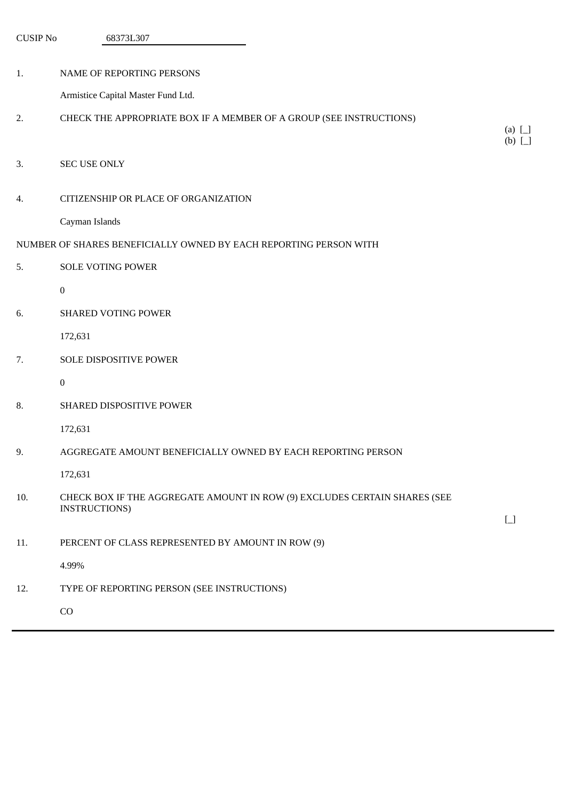| <b>CUSIP No</b> | 68373L307                                                                                  |              |
|-----------------|--------------------------------------------------------------------------------------------|--------------|
| 1.              | NAME OF REPORTING PERSONS                                                                  |              |
|                 | Armistice Capital Master Fund Ltd.                                                         |              |
|                 |                                                                                            |              |
| 2.              | CHECK THE APPROPRIATE BOX IF A MEMBER OF A GROUP (SEE INSTRUCTIONS)                        | $(a)$ $\Box$ |
|                 |                                                                                            | $(b)$ [_]    |
| 3.              | <b>SEC USE ONLY</b>                                                                        |              |
| 4.              | CITIZENSHIP OR PLACE OF ORGANIZATION                                                       |              |
|                 | Cayman Islands                                                                             |              |
|                 | NUMBER OF SHARES BENEFICIALLY OWNED BY EACH REPORTING PERSON WITH                          |              |
| 5.              | <b>SOLE VOTING POWER</b>                                                                   |              |
|                 | $\boldsymbol{0}$                                                                           |              |
| 6.              | <b>SHARED VOTING POWER</b>                                                                 |              |
|                 | 172,631                                                                                    |              |
| 7.              | SOLE DISPOSITIVE POWER                                                                     |              |
|                 | $\boldsymbol{0}$                                                                           |              |
| 8.              | SHARED DISPOSITIVE POWER                                                                   |              |
|                 | 172,631                                                                                    |              |
| 9.              | AGGREGATE AMOUNT BENEFICIALLY OWNED BY EACH REPORTING PERSON                               |              |
|                 | 172,631                                                                                    |              |
| 10.             | CHECK BOX IF THE AGGREGATE AMOUNT IN ROW (9) EXCLUDES CERTAIN SHARES (SEE<br>INSTRUCTIONS) |              |
|                 |                                                                                            | $\Box$       |
| 11.             | PERCENT OF CLASS REPRESENTED BY AMOUNT IN ROW (9)                                          |              |
|                 | 4.99%                                                                                      |              |
| 12.             | TYPE OF REPORTING PERSON (SEE INSTRUCTIONS)                                                |              |
|                 | CO                                                                                         |              |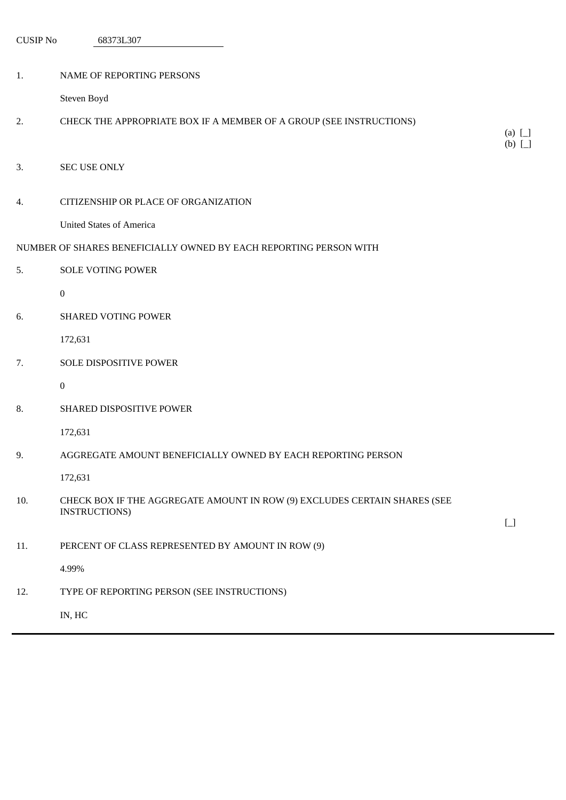| <b>CUSIP No</b> | 68373L307                                                                 |                            |
|-----------------|---------------------------------------------------------------------------|----------------------------|
|                 |                                                                           |                            |
| 1.              | NAME OF REPORTING PERSONS                                                 |                            |
|                 | Steven Boyd                                                               |                            |
| 2.              | CHECK THE APPROPRIATE BOX IF A MEMBER OF A GROUP (SEE INSTRUCTIONS)       |                            |
|                 |                                                                           | (a) $\Box$<br>$(b)$ $\Box$ |
| 3.              | <b>SEC USE ONLY</b>                                                       |                            |
|                 |                                                                           |                            |
| 4.              | CITIZENSHIP OR PLACE OF ORGANIZATION                                      |                            |
|                 | <b>United States of America</b>                                           |                            |
|                 | NUMBER OF SHARES BENEFICIALLY OWNED BY EACH REPORTING PERSON WITH         |                            |
| 5.              | <b>SOLE VOTING POWER</b>                                                  |                            |
|                 | $\boldsymbol{0}$                                                          |                            |
| 6.              | SHARED VOTING POWER                                                       |                            |
|                 | 172,631                                                                   |                            |
| 7.              | SOLE DISPOSITIVE POWER                                                    |                            |
|                 | $\boldsymbol{0}$                                                          |                            |
| 8.              | SHARED DISPOSITIVE POWER                                                  |                            |
|                 | 172,631                                                                   |                            |
| 9.              | AGGREGATE AMOUNT BENEFICIALLY OWNED BY EACH REPORTING PERSON              |                            |
|                 | 172,631                                                                   |                            |
| 10.             | CHECK BOX IF THE AGGREGATE AMOUNT IN ROW (9) EXCLUDES CERTAIN SHARES (SEE |                            |
|                 | <b>INSTRUCTIONS)</b>                                                      | $\Box$                     |
| 11.             | PERCENT OF CLASS REPRESENTED BY AMOUNT IN ROW (9)                         |                            |
|                 | 4.99%                                                                     |                            |
| 12.             | TYPE OF REPORTING PERSON (SEE INSTRUCTIONS)                               |                            |
|                 | IN, HC                                                                    |                            |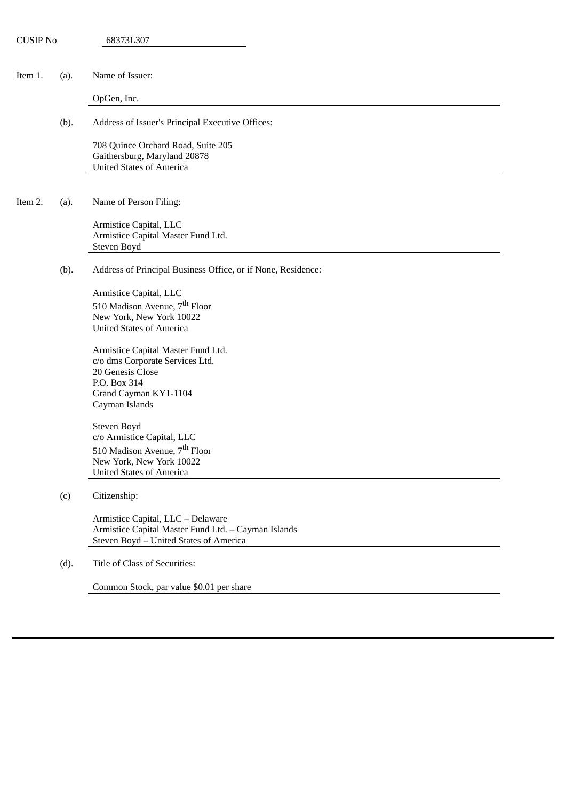| <b>CUSIP No</b> |      | 68373L307                                                                   |
|-----------------|------|-----------------------------------------------------------------------------|
|                 |      |                                                                             |
| Item 1.         | (a). | Name of Issuer:                                                             |
|                 |      | OpGen, Inc.                                                                 |
|                 | (b). | Address of Issuer's Principal Executive Offices:                            |
|                 |      | 708 Quince Orchard Road, Suite 205<br>Gaithersburg, Maryland 20878          |
|                 |      | <b>United States of America</b>                                             |
| Item 2.         | (a). | Name of Person Filing:                                                      |
|                 |      | Armistice Capital, LLC<br>Armistice Capital Master Fund Ltd.<br>Steven Boyd |
|                 | (b). | Address of Principal Business Office, or if None, Residence:                |
|                 |      | Armistice Capital, LLC                                                      |
|                 |      | 510 Madison Avenue, 7 <sup>th</sup> Floor                                   |
|                 |      | New York, New York 10022                                                    |
|                 |      | <b>United States of America</b>                                             |
|                 |      | Armistice Capital Master Fund Ltd.                                          |
|                 |      | c/o dms Corporate Services Ltd.                                             |
|                 |      | 20 Genesis Close                                                            |
|                 |      | P.O. Box 314                                                                |
|                 |      | Grand Cayman KY1-1104<br>Cayman Islands                                     |
|                 |      | Steven Boyd                                                                 |
|                 |      | c/o Armistice Capital, LLC                                                  |
|                 |      | 510 Madison Avenue, 7 <sup>th</sup> Floor                                   |
|                 |      | New York, New York 10022                                                    |
|                 |      | <b>United States of America</b>                                             |
|                 | (c)  | Citizenship:                                                                |
|                 |      | Armistice Capital, LLC - Delaware                                           |
|                 |      | Armistice Capital Master Fund Ltd. - Cayman Islands                         |
|                 |      | Steven Boyd - United States of America                                      |
|                 | (d). | Title of Class of Securities:                                               |
|                 |      | Common Stock, par value \$0.01 per share                                    |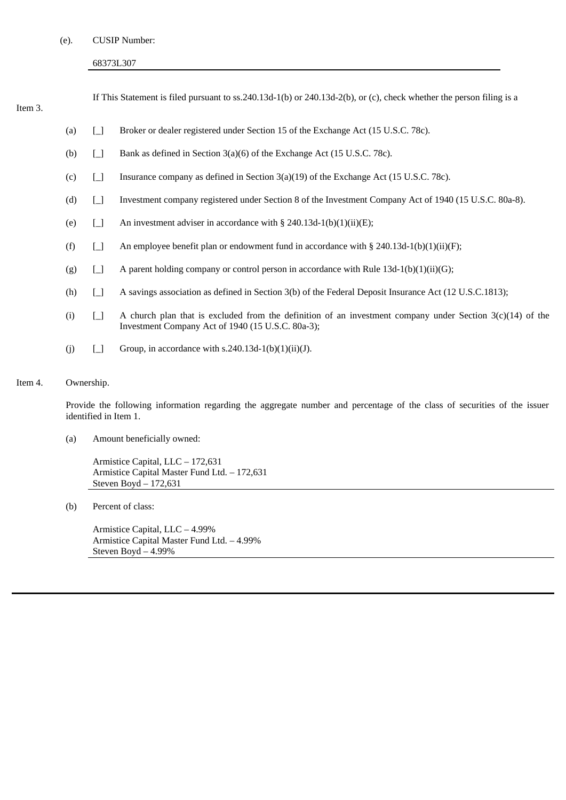(e). CUSIP Number:

# 68373L307

# Item 3.

If This Statement is filed pursuant to ss.240.13d-1(b) or 240.13d-2(b), or (c), check whether the person filing is a

- (a) [\_] Broker or dealer registered under Section 15 of the Exchange Act (15 U.S.C. 78c).
- (b) [\_] Bank as defined in Section 3(a)(6) of the Exchange Act (15 U.S.C. 78c).
- (c)  $\Box$  Insurance company as defined in Section 3(a)(19) of the Exchange Act (15 U.S.C. 78c).
- (d) [\_] Investment company registered under Section 8 of the Investment Company Act of 1940 (15 U.S.C. 80a-8).
- (e)  $\Box$  An investment adviser in accordance with § 240.13d-1(b)(1)(ii)(E);
- (f)  $\Box$  An employee benefit plan or endowment fund in accordance with § 240.13d-1(b)(1)(ii)(F);
- (g)  $\Box$  A parent holding company or control person in accordance with Rule 13d-1(b)(1)(ii)(G);
- (h) [\_] A savings association as defined in Section 3(b) of the Federal Deposit Insurance Act (12 U.S.C.1813);
- (i)  $\Box$  A church plan that is excluded from the definition of an investment company under Section 3(c)(14) of the Investment Company Act of 1940 (15 U.S.C. 80a-3);
- (i)  $\Box$  Group, in accordance with s.240.13d-1(b)(1)(ii)(J).

# Item 4. Ownership.

Provide the following information regarding the aggregate number and percentage of the class of securities of the issuer identified in Item 1.

(a) Amount beneficially owned:

Armistice Capital, LLC – 172,631 Armistice Capital Master Fund Ltd. – 172,631 Steven Boyd – 172,631

(b) Percent of class:

Armistice Capital, LLC – 4.99% Armistice Capital Master Fund Ltd. – 4.99% Steven Boyd – 4.99%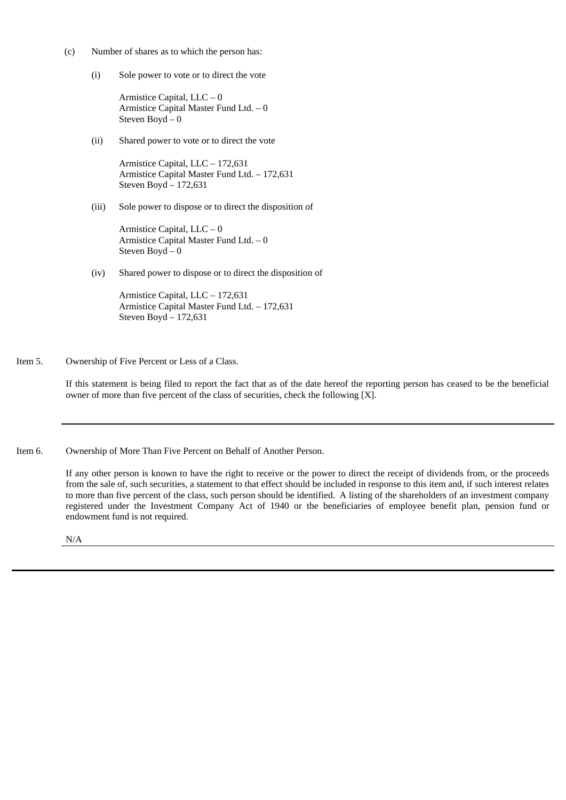- (c) Number of shares as to which the person has:
	- (i) Sole power to vote or to direct the vote

Armistice Capital, LLC – 0 Armistice Capital Master Fund Ltd. – 0 Steven Boyd – 0

(ii) Shared power to vote or to direct the vote

Armistice Capital, LLC – 172,631 Armistice Capital Master Fund Ltd. – 172,631 Steven Boyd – 172,631

(iii) Sole power to dispose or to direct the disposition of

Armistice Capital, LLC – 0 Armistice Capital Master Fund Ltd. – 0 Steven Boyd – 0

(iv) Shared power to dispose or to direct the disposition of

Armistice Capital, LLC – 172,631 Armistice Capital Master Fund Ltd. – 172,631 Steven Boyd – 172,631

Item 5. Ownership of Five Percent or Less of a Class.

If this statement is being filed to report the fact that as of the date hereof the reporting person has ceased to be the beneficial owner of more than five percent of the class of securities, check the following [X].

Item 6. Ownership of More Than Five Percent on Behalf of Another Person.

If any other person is known to have the right to receive or the power to direct the receipt of dividends from, or the proceeds from the sale of, such securities, a statement to that effect should be included in response to this item and, if such interest relates to more than five percent of the class, such person should be identified. A listing of the shareholders of an investment company registered under the Investment Company Act of 1940 or the beneficiaries of employee benefit plan, pension fund or endowment fund is not required.

N/A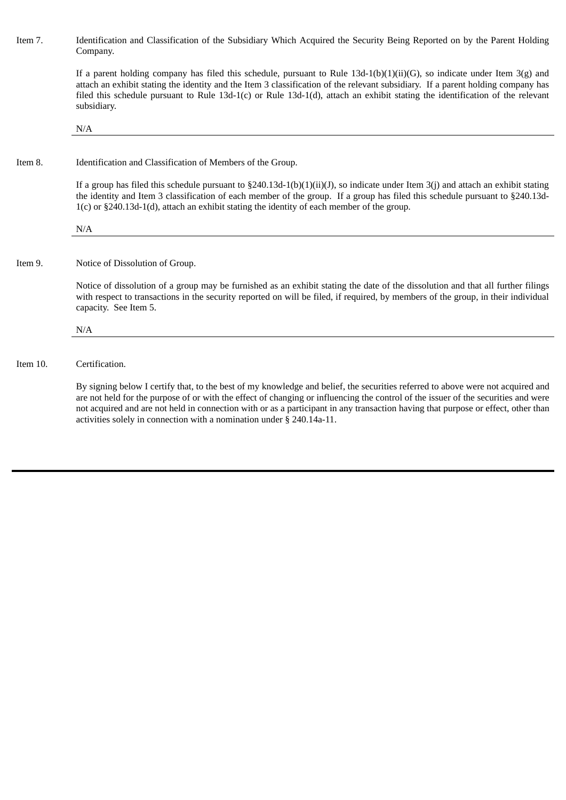Item 7. Identification and Classification of the Subsidiary Which Acquired the Security Being Reported on by the Parent Holding Company.

> If a parent holding company has filed this schedule, pursuant to Rule 13d-1(b)(1)(ii)(G), so indicate under Item 3(g) and attach an exhibit stating the identity and the Item 3 classification of the relevant subsidiary. If a parent holding company has filed this schedule pursuant to Rule 13d-1(c) or Rule 13d-1(d), attach an exhibit stating the identification of the relevant subsidiary.

N/A

## Item 8. Identification and Classification of Members of the Group.

If a group has filed this schedule pursuant to  $\S240.13d-1(b)(1)(ii)(J)$ , so indicate under Item 3(j) and attach an exhibit stating the identity and Item 3 classification of each member of the group. If a group has filed this schedule pursuant to §240.13d-1(c) or §240.13d-1(d), attach an exhibit stating the identity of each member of the group.

N/A

## Item 9. Notice of Dissolution of Group.

Notice of dissolution of a group may be furnished as an exhibit stating the date of the dissolution and that all further filings with respect to transactions in the security reported on will be filed, if required, by members of the group, in their individual capacity. See Item 5.

N/A

#### Item 10. Certification.

By signing below I certify that, to the best of my knowledge and belief, the securities referred to above were not acquired and are not held for the purpose of or with the effect of changing or influencing the control of the issuer of the securities and were not acquired and are not held in connection with or as a participant in any transaction having that purpose or effect, other than activities solely in connection with a nomination under § 240.14a-11.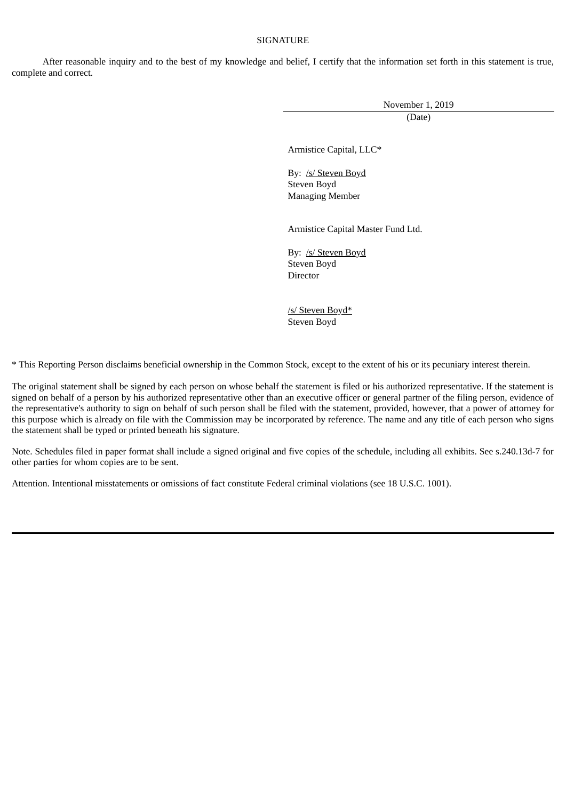## **SIGNATURE**

After reasonable inquiry and to the best of my knowledge and belief, I certify that the information set forth in this statement is true, complete and correct.

November 1, 2019

(Date)

Armistice Capital, LLC\*

By: /s/ Steven Boyd Steven Boyd Managing Member

Armistice Capital Master Fund Ltd.

By: /s/ Steven Boyd Steven Boyd Director

/s/ Steven Boyd\* Steven Boyd

\* This Reporting Person disclaims beneficial ownership in the Common Stock, except to the extent of his or its pecuniary interest therein.

The original statement shall be signed by each person on whose behalf the statement is filed or his authorized representative. If the statement is signed on behalf of a person by his authorized representative other than an executive officer or general partner of the filing person, evidence of the representative's authority to sign on behalf of such person shall be filed with the statement, provided, however, that a power of attorney for this purpose which is already on file with the Commission may be incorporated by reference. The name and any title of each person who signs the statement shall be typed or printed beneath his signature.

Note. Schedules filed in paper format shall include a signed original and five copies of the schedule, including all exhibits. See s.240.13d-7 for other parties for whom copies are to be sent.

Attention. Intentional misstatements or omissions of fact constitute Federal criminal violations (see 18 U.S.C. 1001).